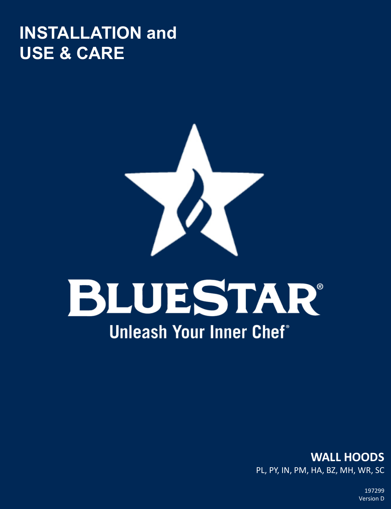## **INSTALLATION and USE & CARE**



# BLUESTAR® **Unleash Your Inner Chef<sup>®</sup>**

**WALL HOODS**  PL, PY, IN, PM, HA, BZ, MH, WR, SC

> 197299 Version D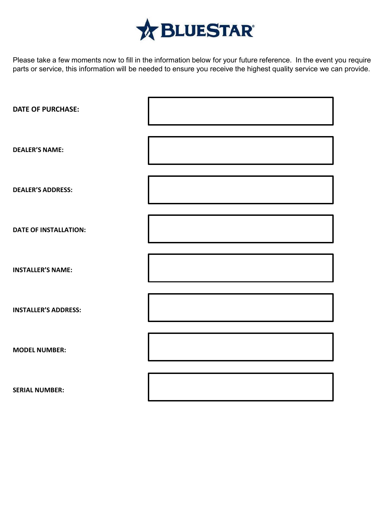

Please take a few moments now to fill in the information below for your future reference. In the event you require parts or service, this information will be needed to ensure you receive the highest quality service we can provide.

| <b>DATE OF PURCHASE:</b>     |  |
|------------------------------|--|
| <b>DEALER'S NAME:</b>        |  |
| <b>DEALER'S ADDRESS:</b>     |  |
| <b>DATE OF INSTALLATION:</b> |  |
| <b>INSTALLER'S NAME:</b>     |  |
| <b>INSTALLER'S ADDRESS:</b>  |  |
| <b>MODEL NUMBER:</b>         |  |
| <b>SERIAL NUMBER:</b>        |  |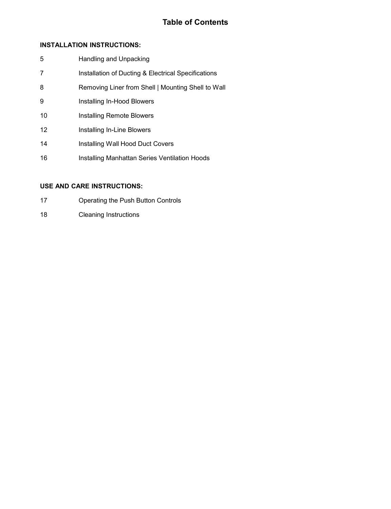### **Table of Contents**

### **INSTALLATION INSTRUCTIONS:**

- 5 Handling and Unpacking
- 7 **Installation of Ducting & Electrical Specifications**
- 8 Removing Liner from Shell | Mounting Shell to Wall
- 9 Installing In-Hood Blowers
- 10 Installing Remote Blowers
- 12 Installing In-Line Blowers
- 14 Installing Wall Hood Duct Covers
- 16 **Installing Manhattan Series Ventilation Hoods**

### **USE AND CARE INSTRUCTIONS:**

- 17 Operating the Push Button Controls
- 18 Cleaning Instructions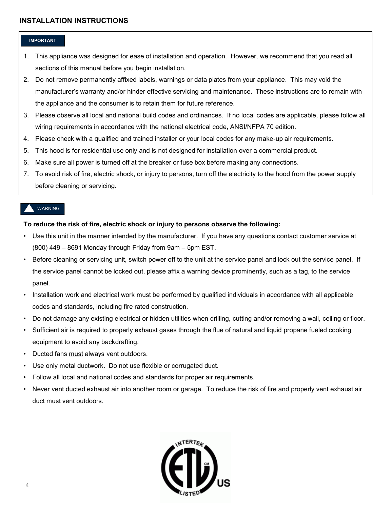### **IMPORTANT**

- 1. This appliance was designed for ease of installation and operation. However, we recommend that you read all sections of this manual before you begin installation.
- 2. Do not remove permanently affixed labels, warnings or data plates from your appliance. This may void the manufacturer's warranty and/or hinder effective servicing and maintenance. These instructions are to remain with the appliance and the consumer is to retain them for future reference.
- 3. Please observe all local and national build codes and ordinances. If no local codes are applicable, please follow all wiring requirements in accordance with the national electrical code, ANSI/NFPA 70 edition.
- 4. Please check with a qualified and trained installer or your local codes for any make-up air requirements.
- 5. This hood is for residential use only and is not designed for installation over a commercial product.
- 6. Make sure all power is turned off at the breaker or fuse box before making any connections.
- 7. To avoid risk of fire, electric shock, or injury to persons, turn off the electricity to the hood from the power supply before cleaning or servicing.

### WARNING

### **To reduce the risk of fire, electric shock or injury to persons observe the following:**

- Use this unit in the manner intended by the manufacturer. If you have any questions contact customer service at (800) 449 – 8691 Monday through Friday from 9am – 5pm EST.
- Before cleaning or servicing unit, switch power off to the unit at the service panel and lock out the service panel. If the service panel cannot be locked out, please affix a warning device prominently, such as a tag, to the service panel.
- Installation work and electrical work must be performed by qualified individuals in accordance with all applicable codes and standards, including fire rated construction.
- Do not damage any existing electrical or hidden utilities when drilling, cutting and/or removing a wall, ceiling or floor.
- Sufficient air is required to properly exhaust gases through the flue of natural and liquid propane fueled cooking equipment to avoid any backdrafting.
- Ducted fans must always vent outdoors.
- Use only metal ductwork. Do not use flexible or corrugated duct.
- Follow all local and national codes and standards for proper air requirements.
- Never vent ducted exhaust air into another room or garage. To reduce the risk of fire and properly vent exhaust air duct must vent outdoors.

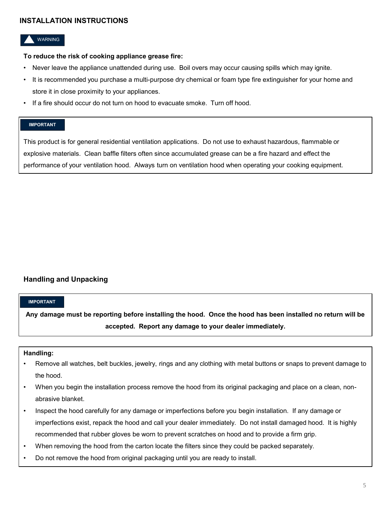### WARNING

### **To reduce the risk of cooking appliance grease fire:**

- Never leave the appliance unattended during use. Boil overs may occur causing spills which may ignite.
- It is recommended you purchase a multi-purpose dry chemical or foam type fire extinguisher for your home and store it in close proximity to your appliances.
- If a fire should occur do not turn on hood to evacuate smoke. Turn off hood.

### **IMPORTANT**

This product is for general residential ventilation applications. Do not use to exhaust hazardous, flammable or explosive materials. Clean baffle filters often since accumulated grease can be a fire hazard and effect the performance of your ventilation hood. Always turn on ventilation hood when operating your cooking equipment.

### **Handling and Unpacking**

### **IMPORTANT**

**Any damage must be reporting before installing the hood. Once the hood has been installed no return will be accepted. Report any damage to your dealer immediately.**

### **Handling:**

- Remove all watches, belt buckles, jewelry, rings and any clothing with metal buttons or snaps to prevent damage to the hood.
- When you begin the installation process remove the hood from its original packaging and place on a clean, nonabrasive blanket.
- Inspect the hood carefully for any damage or imperfections before you begin installation. If any damage or imperfections exist, repack the hood and call your dealer immediately. Do not install damaged hood. It is highly recommended that rubber gloves be worn to prevent scratches on hood and to provide a firm grip.
- When removing the hood from the carton locate the filters since they could be packed separately.
- Do not remove the hood from original packaging until you are ready to install.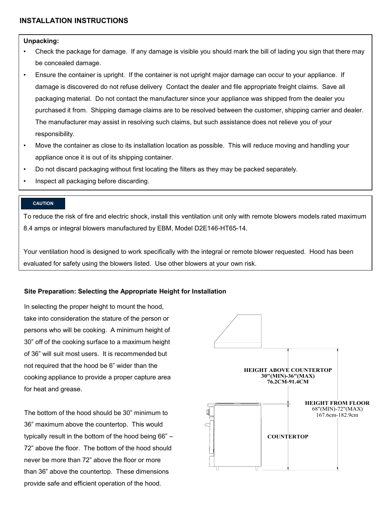### **Unpacking:**

- Check the package for damage. If any damage is visible you should mark the bill of lading you sign that there may be concealed damage.
- Ensure the container is upright. If the container is not upright major damage can occur to your appliance. If damage is discovered do not refuse delivery Contact the dealer and file appropriate freight claims. Save all packaging material. Do not contact the manufacturer since your appliance was shipped from the dealer you purchased it from. Shipping damage claims are to be resolved between the customer, shipping carrier and dealer. The manufacturer may assist in resolving such claims, but such assistance does not relieve you of your responsibility.
- Move the container as close to its installation location as possible. This will reduce moving and handling your appliance once it is out of its shipping container.
- Do not discard packaging without first locating the filters as they may be packed separately.
- Inspect all packaging before discarding.

### **CAUTION**

To reduce the risk of fire and electric shock, install this ventilation unit only with remote blowers models rated maximum 8.4 amps or integral blowers manufactured by EBM, Model D2E146-HT65-14.

Your ventilation hood is designed to work specifically with the integral or remote blower requested. Hood has been evaluated for safety using the blowers listed. Use other blowers at your own risk.

### **Site Preparation: Selecting the Appropriate Height for Installation**

In selecting the proper height to mount the hood, take into consideration the stature of the person or persons who will be cooking. A minimum height of 30" off of the cooking surface to a maximum height of 36" will suit most users. It is recommended but not required that the hood be 6" wider than the cooking appliance to provide a proper capture area for heat and grease.

The bottom of the hood should be 30" minimum to 36" maximum above the countertop. This would typically result in the bottom of the hood being 66" – 72" above the floor. The bottom of the hood should never be more than 72" above the floor or more than 36" above the countertop. These dimensions provide safe and efficient operation of the hood.

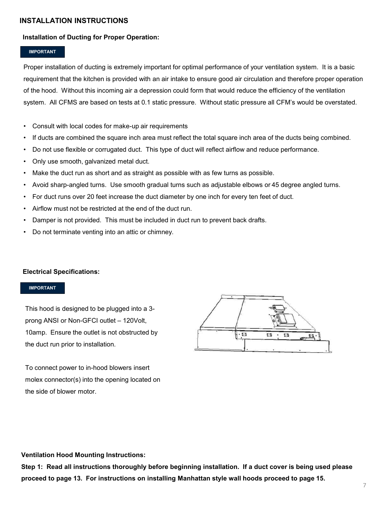### **Installation of Ducting for Proper Operation:**

### **IMPORTANT**

Proper installation of ducting is extremely important for optimal performance of your ventilation system. It is a basic requirement that the kitchen is provided with an air intake to ensure good air circulation and therefore proper operation of the hood. Without this incoming air a depression could form that would reduce the efficiency of the ventilation system. All CFMS are based on tests at 0.1 static pressure. Without static pressure all CFM's would be overstated.

- Consult with local codes for make-up air requirements
- If ducts are combined the square inch area must reflect the total square inch area of the ducts being combined.
- Do not use flexible or corrugated duct. This type of duct will reflect airflow and reduce performance.
- Only use smooth, galvanized metal duct.
- Make the duct run as short and as straight as possible with as few turns as possible.
- Avoid sharp-angled turns. Use smooth gradual turns such as adjustable elbows or 45 degree angled turns.
- For duct runs over 20 feet increase the duct diameter by one inch for every ten feet of duct.
- Airflow must not be restricted at the end of the duct run.
- Damper is not provided. This must be included in duct run to prevent back drafts.
- Do not terminate venting into an attic or chimney.

### **Electrical Specifications:**

### **IMPORTANT**

This hood is designed to be plugged into a 3 prong ANSI or Non-GFCI outlet – 120Volt, 10amp. Ensure the outlet is not obstructed by the duct run prior to installation.



To connect power to in-hood blowers insert molex connector(s) into the opening located on the side of blower motor.

**Ventilation Hood Mounting Instructions:**

**Step 1: Read all instructions thoroughly before beginning installation. If a duct cover is being used please proceed to page 13. For instructions on installing Manhattan style wall hoods proceed to page 15.**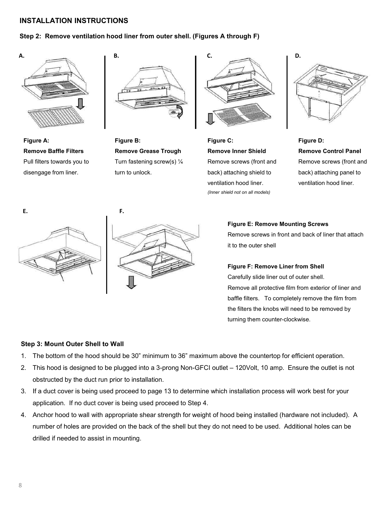### **Step 2: Remove ventilation hood liner from outer shell. (Figures A through F)**



**Figure A: Remove Baffle Filters** Pull filters towards you to disengage from liner.



**Figure B: Remove Grease Trough** Turn fastening screw(s) ¼ turn to unlock.



**Figure C: Remove Inner Shield** Remove screws (front and back) attaching shield to ventilation hood liner. *(Inner shield not on all models)*



**Figure D: Remove Control Panel** Remove screws (front and back) attaching panel to ventilation hood liner.





**Figure E: Remove Mounting Screws** Remove screws in front and back of liner that attach it to the outer shell

**Figure F: Remove Liner from Shell** Carefully slide liner out of outer shell. Remove all protective film from exterior of liner and baffle filters. To completely remove the film from the filters the knobs will need to be removed by turning them counter-clockwise.

### **Step 3: Mount Outer Shell to Wall**

- 1. The bottom of the hood should be 30" minimum to 36" maximum above the countertop for efficient operation.
- 2. This hood is designed to be plugged into a 3-prong Non-GFCI outlet 120Volt, 10 amp. Ensure the outlet is not obstructed by the duct run prior to installation.
- 3. If a duct cover is being used proceed to page 13 to determine which installation process will work best for your application. If no duct cover is being used proceed to Step 4.
- 4. Anchor hood to wall with appropriate shear strength for weight of hood being installed (hardware not included). A number of holes are provided on the back of the shell but they do not need to be used. Additional holes can be drilled if needed to assist in mounting.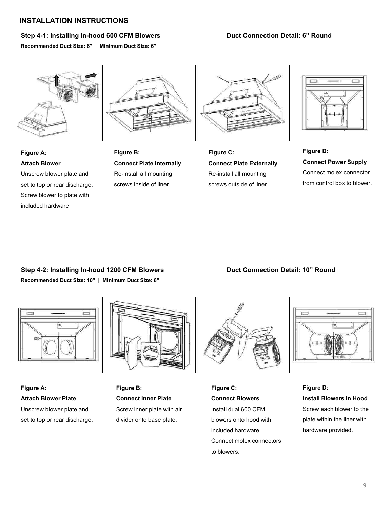### **Step 4-1: Installing In-hood 600 CFM Blowers Duct Connection Detail: 6" Round**

**Recommended Duct Size: 6" | Minimum Duct Size: 6"**



**Figure A:**

included hardware



**Attach Blower** Unscrew blower plate and set to top or rear discharge. Screw blower to plate with





**Figure C: Connect Plate Externally** Re-install all mounting screws outside of liner.



**Figure D: Connect Power Supply** Connect molex connector from control box to blower.

### **Step 4-2: Installing In-hood 1200 CFM Blowers Duct Connection Detail: 10" Round**

**Recommended Duct Size: 10" | Minimum Duct Size: 8"**



**Figure A: Attach Blower Plate** Unscrew blower plate and set to top or rear discharge.



**Figure B: Connect Inner Plate** Screw inner plate with air divider onto base plate.



**Figure C: Connect Blowers** Install dual 600 CFM blowers onto hood with included hardware. Connect molex connectors to blowers.



**Figure D: Install Blowers in Hood** Screw each blower to the plate within the liner with hardware provided.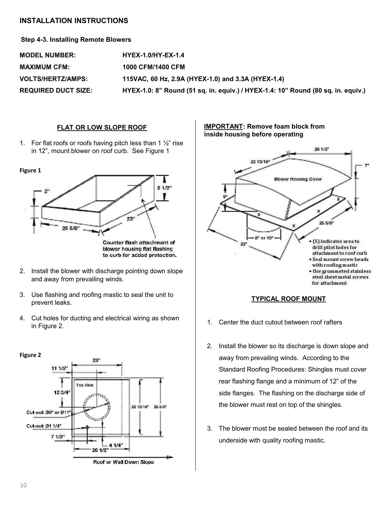### **Step 4-3. Installing Remote Blowers**

| <b>MODEL NUMBER:</b>       | <b>HYEX-1.0/HY-EX-1.4</b>                                                        |
|----------------------------|----------------------------------------------------------------------------------|
| <b>MAXIMUM CFM:</b>        | 1000 CFM/1400 CFM                                                                |
| <b>VOLTS/HERTZ/AMPS:</b>   | 115VAC, 60 Hz, 2.9A (HYEX-1.0) and 3.3A (HYEX-1.4)                               |
| <b>REQUIRED DUCT SIZE:</b> | HYEX-1.0: 8" Round (51 sq. in. equiv.) / HYEX-1.4: 10" Round (80 sq. in. equiv.) |

### **FLAT OR LOW SLOPE ROOF**

1. For flat roofs or roofs having pitch less than 1  $\frac{1}{2}$ " rise in 12", mount blower on roof curb. See Figure 1



- 2. Install the blower with discharge pointing down slope and away from prevailing winds.
- 3. Use flashing and roofing mastic to seal the unit to prevent leaks.
- 4. Cut holes for ducting and electrical wiring as shown in Figure 2.



**IMPORTANT: Remove foam block from inside housing before operating**





- 1. Center the duct cutout between roof rafters
- 2. Install the blower so its discharge is down slope and away from prevailing winds. According to the Standard Roofing Procedures: Shingles must cover rear flashing flange and a minimum of 12" of the side flanges. The flashing on the discharge side of the blower must rest on top of the shingles.
- 3. The blower must be sealed between the roof and its underside with quality roofing mastic.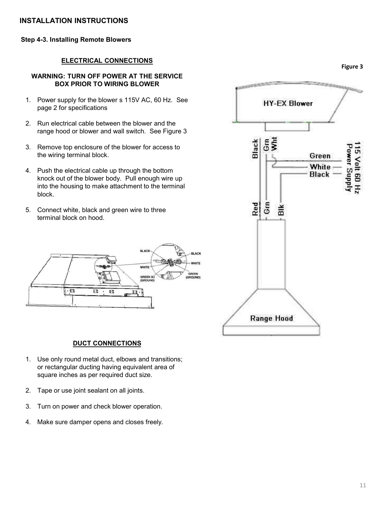### **Step 4-3. Installing Remote Blowers**

### **ELECTRICAL CONNECTIONS**

### **WARNING: TURN OFF POWER AT THE SERVICE BOX PRIOR TO WIRING BLOWER**

- 1. Power supply for the blower s 115V AC, 60 Hz. See page 2 for specifications
- 2. Run electrical cable between the blower and the range hood or blower and wall switch. See Figure 3
- 3. Remove top enclosure of the blower for access to the wiring terminal block.
- 4. Push the electrical cable up through the bottom knock out of the blower body. Pull enough wire up into the housing to make attachment to the terminal block.
- 5. Connect white, black and green wire to three terminal block on hood.





### **DUCT CONNECTIONS**

- 1. Use only round metal duct, elbows and transitions; or rectangular ducting having equivalent area of square inches as per required duct size.
- 2. Tape or use joint sealant on all joints.
- 3. Turn on power and check blower operation.
- 4. Make sure damper opens and closes freely.



**Figure 3**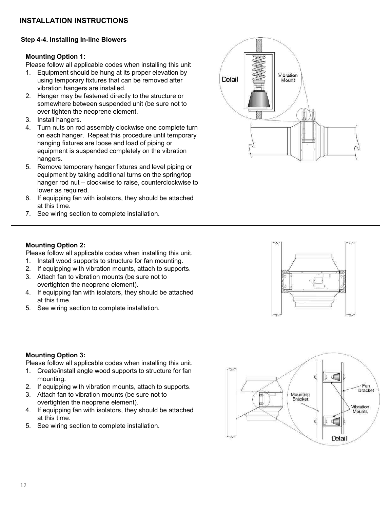### **Step 4-4. Installing In-line Blowers**

### **Mounting Option 1:**

Please follow all applicable codes when installing this unit

- 1. Equipment should be hung at its proper elevation by using temporary fixtures that can be removed after vibration hangers are installed.
- 2. Hanger may be fastened directly to the structure or somewhere between suspended unit (be sure not to over tighten the neoprene element.
- 3. Install hangers.
- 4. Turn nuts on rod assembly clockwise one complete turn on each hanger. Repeat this procedure until temporary hanging fixtures are loose and load of piping or equipment is suspended completely on the vibration hangers.
- 5. Remove temporary hanger fixtures and level piping or equipment by taking additional turns on the spring/top hanger rod nut – clockwise to raise, counterclockwise to lower as required.
- 6. If equipping fan with isolators, they should be attached at this time.
- 7. See wiring section to complete installation.



### **Mounting Option 2:**

Please follow all applicable codes when installing this unit.

- 1. Install wood supports to structure for fan mounting.
- 2. If equipping with vibration mounts, attach to supports.
- 3. Attach fan to vibration mounts (be sure not to overtighten the neoprene element).
- 4. If equipping fan with isolators, they should be attached at this time.
- 5. See wiring section to complete installation.

### **Mounting Option 3:**

Please follow all applicable codes when installing this unit.

- 1. Create/install angle wood supports to structure for fan mounting.
- 2. If equipping with vibration mounts, attach to supports.
- 3. Attach fan to vibration mounts (be sure not to overtighten the neoprene element).
- 4. If equipping fan with isolators, they should be attached at this time.
- 5. See wiring section to complete installation.



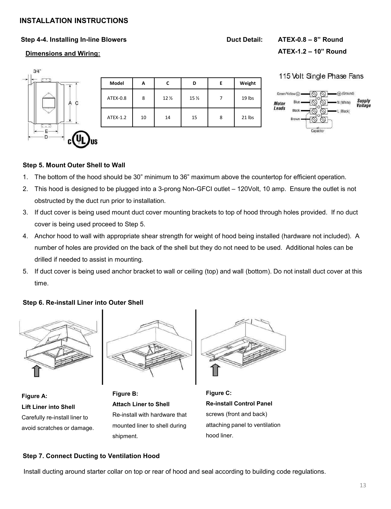### **Step 4-4. Installing In-line Blowers Duct Detail: ATEX-0.8 – 8" Round**

### **Dimensions and Wiring:**

**ATEX-1.2 – 10" Round**

# $3/4"$ F

| Model    | А  |                 | D               | Е | Weight |
|----------|----|-----------------|-----------------|---|--------|
| ATEX-0.8 | 8  | 12 <sub>2</sub> | 15 <sub>2</sub> |   | 19 lbs |
| ATEX-1.2 | 10 | 14              | 15              | 8 | 21 lbs |

### 115 Volt Single Phase Fans



### **Step 5. Mount Outer Shell to Wall**

- 1. The bottom of the hood should be 30" minimum to 36" maximum above the countertop for efficient operation.
- 2. This hood is designed to be plugged into a 3-prong Non-GFCI outlet 120Volt, 10 amp. Ensure the outlet is not obstructed by the duct run prior to installation.
- 3. If duct cover is being used mount duct cover mounting brackets to top of hood through holes provided. If no duct cover is being used proceed to Step 5.
- 4. Anchor hood to wall with appropriate shear strength for weight of hood being installed (hardware not included). A number of holes are provided on the back of the shell but they do not need to be used. Additional holes can be drilled if needed to assist in mounting.
- 5. If duct cover is being used anchor bracket to wall or ceiling (top) and wall (bottom). Do not install duct cover at this time.

### **Step 6. Re-install Liner into Outer Shell**



**Figure A: Lift Liner into Shell** Carefully re-install liner to avoid scratches or damage.



**Figure B: Attach Liner to Shell** Re-install with hardware that mounted liner to shell during shipment.



**Figure C: Re-install Control Panel** screws (front and back) attaching panel to ventilation hood liner.

### **Step 7. Connect Ducting to Ventilation Hood**

Install ducting around starter collar on top or rear of hood and seal according to building code regulations.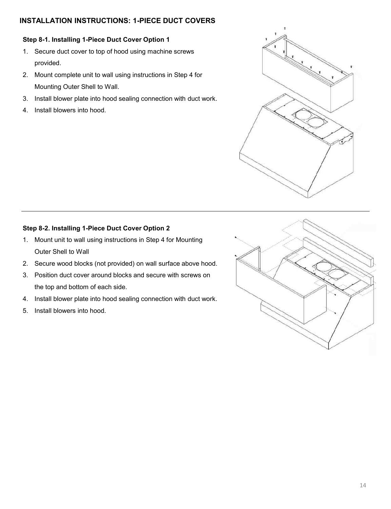### **INSTALLATION INSTRUCTIONS: 1-PIECE DUCT COVERS**

### **Step 8-1. Installing 1-Piece Duct Cover Option 1**

- 1. Secure duct cover to top of hood using machine screws provided.
- 2. Mount complete unit to wall using instructions in Step 4 for Mounting Outer Shell to Wall.
- 3. Install blower plate into hood sealing connection with duct work.
- 4. Install blowers into hood.



### **Step 8-2. Installing 1-Piece Duct Cover Option 2**

- 1. Mount unit to wall using instructions in Step 4 for Mounting Outer Shell to Wall
- 2. Secure wood blocks (not provided) on wall surface above hood.
- 3. Position duct cover around blocks and secure with screws on the top and bottom of each side.
- 4. Install blower plate into hood sealing connection with duct work.
- 5. Install blowers into hood.

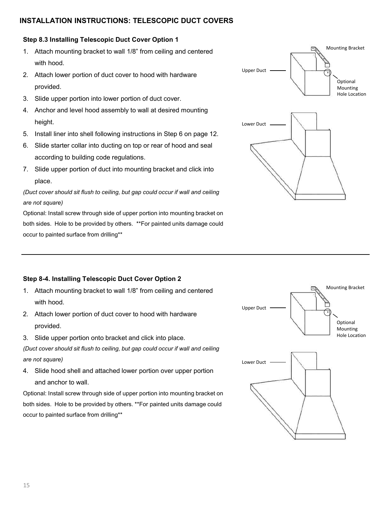### **INSTALLATION INSTRUCTIONS: TELESCOPIC DUCT COVERS**

### **Step 8.3 Installing Telescopic Duct Cover Option 1**

- 1. Attach mounting bracket to wall 1/8" from ceiling and centered with hood.
- 2. Attach lower portion of duct cover to hood with hardware provided.
- 3. Slide upper portion into lower portion of duct cover.
- 4. Anchor and level hood assembly to wall at desired mounting height.
- 5. Install liner into shell following instructions in Step 6 on page 12.
- 6. Slide starter collar into ducting on top or rear of hood and seal according to building code regulations.
- 7. Slide upper portion of duct into mounting bracket and click into place.

*(Duct cover should sit flush to ceiling, but gap could occur if wall and ceiling are not square)*

Optional: Install screw through side of upper portion into mounting bracket on both sides. Hole to be provided by others. \*\*For painted units damage could occur to painted surface from drilling\*\*



### **Step 8-4. Installing Telescopic Duct Cover Option 2**

- 1. Attach mounting bracket to wall 1/8" from ceiling and centered with hood.
- 2. Attach lower portion of duct cover to hood with hardware provided.
- 3. Slide upper portion onto bracket and click into place.

*(Duct cover should sit flush to ceiling, but gap could occur if wall and ceiling are not square)*

4. Slide hood shell and attached lower portion over upper portion and anchor to wall.

Optional: Install screw through side of upper portion into mounting bracket on both sides. Hole to be provided by others. \*\*For painted units damage could occur to painted surface from drilling\*\*

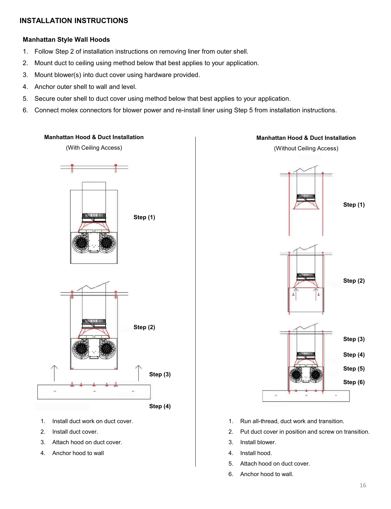### **Manhattan Style Wall Hoods**

- 1. Follow Step 2 of installation instructions on removing liner from outer shell.
- 2. Mount duct to ceiling using method below that best applies to your application.
- 3. Mount blower(s) into duct cover using hardware provided.
- 4. Anchor outer shell to wall and level.
- 5. Secure outer shell to duct cover using method below that best applies to your application.
- 6. Connect molex connectors for blower power and re-install liner using Step 5 from installation instructions.



- 1. Install duct work on duct cover.
- 2. Install duct cover.
- 3. Attach hood on duct cover.
- 4. Anchor hood to wall



- 1. Run all-thread, duct work and transition.
- 2. Put duct cover in position and screw on transition.
- 3. Install blower.
- 4. Install hood.
- 5. Attach hood on duct cover.
- 6. Anchor hood to wall.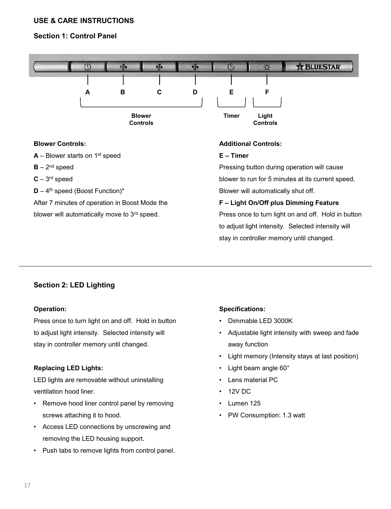### **USE & CARE INSTRUCTIONS**

### **Section 1: Control Panel**



### **Blower Controls:**

- **A** Blower starts on 1st speed
- $B 2<sup>nd</sup>$  speed
- **C** 3 rd speed
- **D** 4<sup>th</sup> speed (Boost Function)\*

After 7 minutes of operation in Boost Mode the blower will automatically move to 3rd speed.

### **Additional Controls:**

### **E – Timer**

Pressing button during operation will cause blower to run for 5 minutes at its current speed. Blower will automatically shut off.

### **F – Light On/Off plus Dimming Feature**

Press once to turn light on and off. Hold in button to adjust light intensity. Selected intensity will stay in controller memory until changed.

### **Section 2: LED Lighting**

### **Operation:**

Press once to turn light on and off. Hold in button to adjust light intensity. Selected intensity will stay in controller memory until changed.

### **Replacing LED Lights:**

LED lights are removable without uninstalling ventilation hood liner.

- Remove hood liner control panel by removing screws attaching it to hood.
- Access LED connections by unscrewing and removing the LED housing support.
- Push tabs to remove lights from control panel.

### **Specifications:**

- Dimmable LED 3000K
- Adjustable light intensity with sweep and fade away function
- Light memory (Intensity stays at last position)
- Light beam angle 60°
- Lens material PC
- 12V DC
- Lumen 125
- PW Consumption: 1.3 watt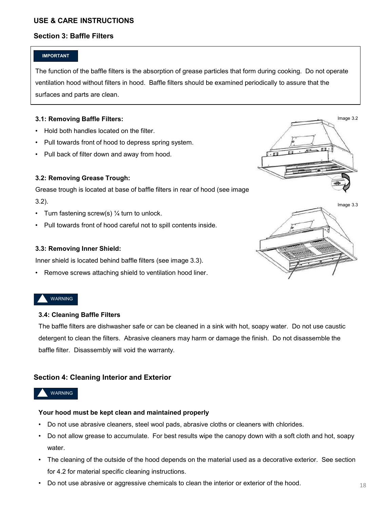### **USE & CARE INSTRUCTIONS**

### **Section 3: Baffle Filters**

### **IMPORTANT**

The function of the baffle filters is the absorption of grease particles that form during cooking. Do not operate ventilation hood without filters in hood. Baffle filters should be examined periodically to assure that the surfaces and parts are clean.

### **3.1: Removing Baffle Filters:**

- Hold both handles located on the filter.
- Pull towards front of hood to depress spring system.
- Pull back of filter down and away from hood.

### **3.2: Removing Grease Trough:**

Grease trough is located at base of baffle filters in rear of hood (see image 3.2).

- Turn fastening screw(s)  $\frac{1}{4}$  turn to unlock.
- Pull towards front of hood careful not to spill contents inside.

### **3.3: Removing Inner Shield:**

Inner shield is located behind baffle filters (see image 3.3).

Remove screws attaching shield to ventilation hood liner.

### WARNING

### **3.4: Cleaning Baffle Filters**

The baffle filters are dishwasher safe or can be cleaned in a sink with hot, soapy water. Do not use caustic detergent to clean the filters. Abrasive cleaners may harm or damage the finish. Do not disassemble the baffle filter. Disassembly will void the warranty.

### **Section 4: Cleaning Interior and Exterior**

### WARNING

### **Your hood must be kept clean and maintained properly**

- Do not use abrasive cleaners, steel wool pads, abrasive cloths or cleaners with chlorides.
- Do not allow grease to accumulate. For best results wipe the canopy down with a soft cloth and hot, soapy water.
- The cleaning of the outside of the hood depends on the material used as a decorative exterior. See section for 4.2 for material specific cleaning instructions.
- Do not use abrasive or aggressive chemicals to clean the interior or exterior of the hood.